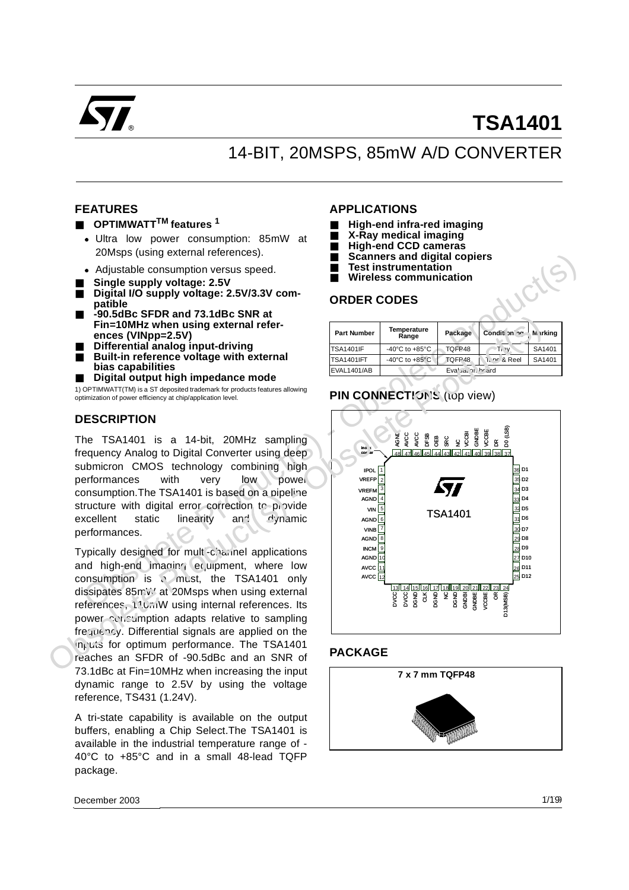

# **TSA1401**

# 14-BIT, 20MSPS, 85mW A/D CONVERTER

## **FEATURES**

## ■ **OPTIMWATT<sup>TM</sup> features** <sup>1</sup>

- Ultra low power consumption: 85mW at 20Msps (using external references).
- Adjustable consumption versus speed.
- Single supply voltage: 2.5V
- Digital I/O supply voltage: 2.5V/3.3V com**patible**
- **-90.5dBc SFDR and 73.1dBc SNR at Fin=10MHz when using external references (VINpp=2.5V)**
- **Differential analog input-driving**
- **Built-in reference voltage with external bias capabilities**
- **Digital output high impedance mode**

1) OPTIMWATT(TM) is a ST deposited trademark for products features allowing optimization of power efficiency at chip/application level.

#### **DESCRIPTION**

The TSA1401 is a 14-bit, 20MHz sampling frequency Analog to Digital Converter using deep submicron CMOS technology combining high performances with very low power consumption.The TSA1401 is based on a pipeline structure with digital error correction to provide excellent static linearity and dynamic performances.

Typically designed for multi-channel applications and high-end imaging equipment, where low consumption is a must, the TSA1401 only dissipates 85mW at 20Msps when using external references, 110mW using internal references. Its power consumption adapts relative to sampling frequency. Differential signals are applied on the inputs for optimum performance. The TSA1401 reaches an SFDR of -90.5dBc and an SNR of 73.1dBc at Fin=10MHz when increasing the input dynamic range to 2.5V by using the voltage reference, TS431 (1.24V).

A tri-state capability is available on the output buffers, enabling a Chip Select.The TSA1401 is available in the industrial temperature range of - 40°C to +85°C and in a small 48-lead TQFP package.

#### **APPLICATIONS**

- **High-end infra-red imaging**
- **X-Ray medical imaging**
- **High-end CCD cameras**
- **Scanners and digital copiers**
- **Test instrumentation**
- **Wireless communication**

#### **ORDER CODES**

| <b>Part Number</b> | Temperature<br>Range                 | Package           | Condition no            | Markina |
|--------------------|--------------------------------------|-------------------|-------------------------|---------|
| <b>TSA1401IF</b>   | -40 $^{\circ}$ C to +85 $^{\circ}$ C | TQFP48            | -Ti√v                   | SA1401  |
| TSA1401IFT         | -40 $^{\circ}$ C to +85 $^{\circ}$ C | TQFP48            | ገ. <u>ከፍ &amp; Reel</u> | SA1401  |
| EVAL1401/AB        |                                      | Evaluation briard |                         |         |

# **PIN CONNECTIONS** (top view)



#### **PACKAGE**

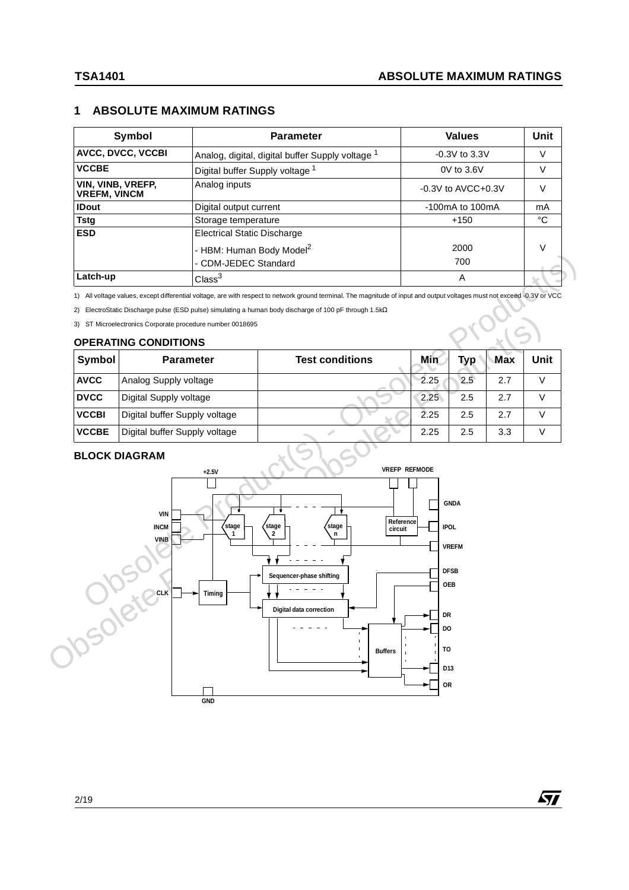# **1 ABSOLUTE MAXIMUM RATINGS**

| Symbol                                   | <b>Parameter</b>                                            | <b>Values</b>           | Unit |
|------------------------------------------|-------------------------------------------------------------|-------------------------|------|
| <b>AVCC, DVCC, VCCBI</b>                 | Analog, digital, digital buffer Supply voltage <sup>1</sup> | $-0.3V$ to 3.3V         |      |
| <b>VCCBE</b>                             | Digital buffer Supply voltage <sup>1</sup>                  | $0V$ to $3.6V$          |      |
| VIN, VINB, VREFP,<br><b>VREFM, VINCM</b> | Analog inputs                                               | $-0.3V$ to AVCC $+0.3V$ |      |
| <b>IDout</b>                             | Digital output current                                      | $-100$ mA to $100$ mA   | mA   |
| <b>Tstg</b>                              | Storage temperature                                         | $+150$                  | °C   |
| <b>ESD</b>                               | <b>Electrical Static Discharge</b>                          |                         |      |
|                                          | - HBM: Human Body Model <sup>2</sup>                        | 2000                    |      |
|                                          | - CDM-JEDEC Standard                                        | 700                     |      |
| Latch-up                                 | $\mathrm{Class}^3$                                          | Α                       |      |

1) All voltage values, except differential voltage, are with respect to network ground terminal. The magnitude of input and output voltages must not exceed -0.3V or VCC

2) ElectroStatic Discharge pulse (ESD pulse) simulating a human body discharge of 100 pF through 1.5kΩ

3) ST Microelectronics Corporate procedure number 0018695

#### **OPERATING CONDITIONS**

| Symbol       | <b>Parameter</b>              | <b>Test conditions</b> | Min  | <b>Typ</b> | <b>Max</b> | Unit |
|--------------|-------------------------------|------------------------|------|------------|------------|------|
| <b>AVCC</b>  | Analog Supply voltage         |                        | 2.25 | 2.5        | 2.7        |      |
| <b>DVCC</b>  | Digital Supply voltage        |                        | 2.25 | 2.5        | 2.7        |      |
| <b>VCCBI</b> | Digital buffer Supply voltage |                        | 2.25 | 2.5        | 2.7        |      |
| <b>VCCBE</b> | Digital buffer Supply voltage |                        | 2.25 | 2.5        | 3.3        |      |

#### **BLOCK DIAGRAM**

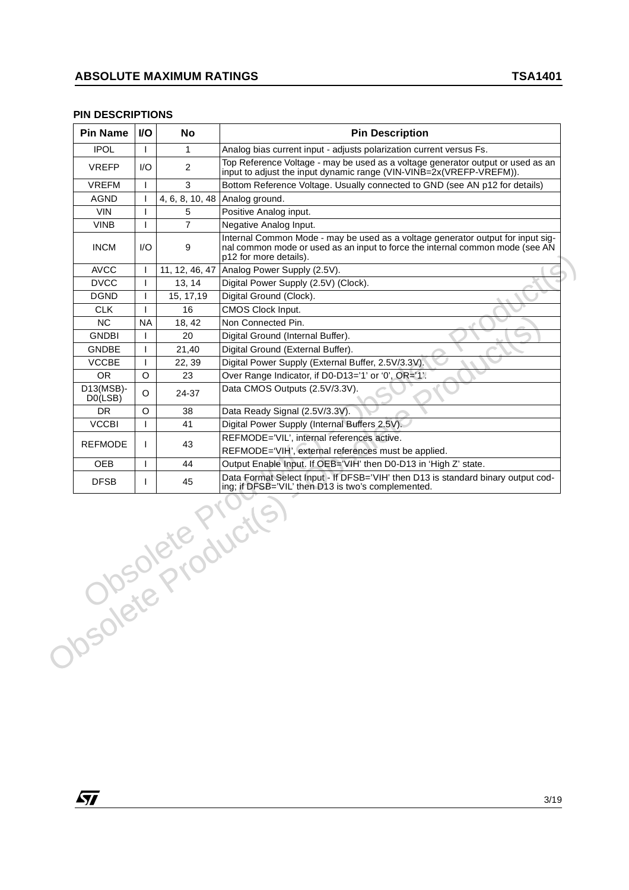#### **PIN DESCRIPTIONS**

|                                      | <b>VO</b> | No             | <b>Pin Description</b>                                                                                                                                                                     |
|--------------------------------------|-----------|----------------|--------------------------------------------------------------------------------------------------------------------------------------------------------------------------------------------|
| <b>IPOL</b>                          |           | $\mathbf{1}$   | Analog bias current input - adjusts polarization current versus Fs.                                                                                                                        |
| <b>VREFP</b>                         | 1/O       | $\overline{2}$ | Top Reference Voltage - may be used as a voltage generator output or used as an<br>input to adjust the input dynamic range (VIN-VINB=2x(VREFP-VREFM)).                                     |
| <b>VREFM</b>                         | T         | 3              | Bottom Reference Voltage. Usually connected to GND (see AN p12 for details)                                                                                                                |
| AGND                                 | I         |                | 4, 6, 8, 10, 48 Analog ground.                                                                                                                                                             |
| <b>VIN</b>                           | L         | 5              | Positive Analog input.                                                                                                                                                                     |
| <b>VINB</b>                          |           | $\overline{7}$ | Negative Analog Input.                                                                                                                                                                     |
| <b>INCM</b>                          | 1/O       | 9              | Internal Common Mode - may be used as a voltage generator output for input sig-<br>nal common mode or used as an input to force the internal common mode (see AN<br>p12 for more details). |
| <b>AVCC</b>                          | J.        | 11, 12, 46, 47 | Analog Power Supply (2.5V).                                                                                                                                                                |
| <b>DVCC</b>                          | T         | 13, 14         | Digital Power Supply (2.5V) (Clock).                                                                                                                                                       |
| <b>DGND</b>                          | T         | 15, 17, 19     | Digital Ground (Clock).                                                                                                                                                                    |
| <b>CLK</b>                           | T         | 16             | CMOS Clock Input.                                                                                                                                                                          |
| <b>NC</b>                            | <b>NA</b> | 18, 42         | Non Connected Pin.                                                                                                                                                                         |
| <b>GNDBI</b>                         | L         | 20             | Digital Ground (Internal Buffer).                                                                                                                                                          |
| <b>GNDBE</b>                         | T         | 21,40          | Digital Ground (External Buffer).                                                                                                                                                          |
| <b>VCCBE</b>                         | T         | 22, 39         | Digital Power Supply (External Buffer, 2.5V/3.3V).                                                                                                                                         |
| OR.                                  | O         | 23             | Over Range Indicator, if D0-D13='1' or '0', OR='1'.                                                                                                                                        |
| $D13(MSB)$ -<br>D <sub>0</sub> (LSB) | O         | 24-37          | Data CMOS Outputs (2.5V/3.3V).                                                                                                                                                             |
| DR.                                  | O         | 38             | Data Ready Signal (2.5V/3.3V).                                                                                                                                                             |
| <b>VCCBI</b>                         | T         | 41             | Digital Power Supply (Internal Buffers 2.5V).                                                                                                                                              |
| <b>REFMODE</b>                       | L         | 43             | REFMODE='VIL', internal references active.                                                                                                                                                 |
|                                      |           |                | REFMODE='VIH', external references must be applied.                                                                                                                                        |
| <b>OEB</b>                           | T         | 44             | Output Enable Input. If OEB='VIH' then D0-D13 in 'High Z' state.                                                                                                                           |
|                                      |           |                | Data Format Select Input - If DFSB='VIH' then D13 is standard binary output cod-<br>ing; if DFSB='VIL' then D13 is two's complemented.                                                     |
|                                      |           |                | JOSORER PIONICIS                                                                                                                                                                           |

*ST*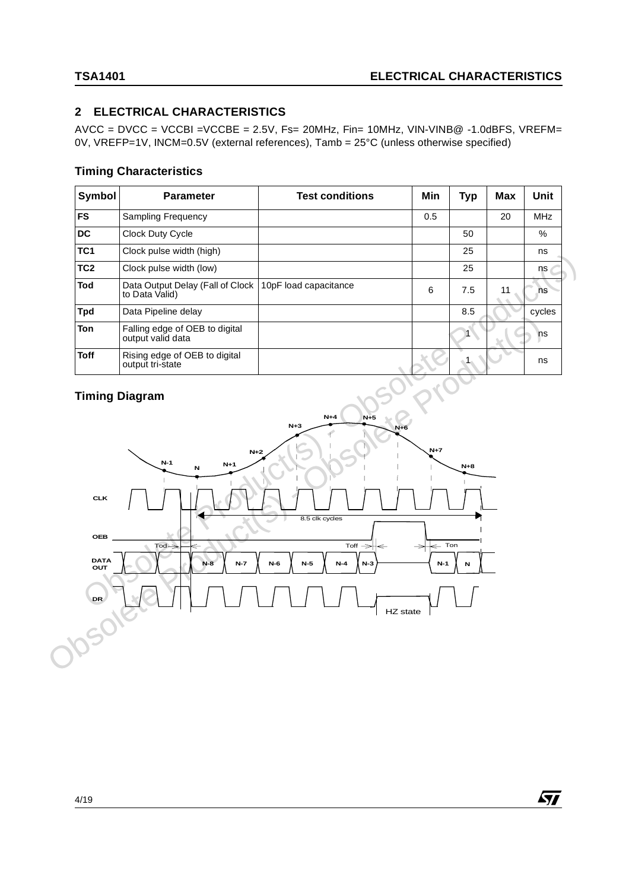# **2 ELECTRICAL CHARACTERISTICS**

 $AVCC = DVCC = VCCBI = VCCBE = 2.5V$ ,  $Fs = 20MHz$ ,  $Fin = 10MHz$ ,  $VIN-VINB@ -1.0dBFS$ ,  $VREFM =$ 0V, VREFP=1V, INCM=0.5V (external references), Tamb = 25°C (unless otherwise specified)

## **Timing Characteristics**

| Symbol          | <b>Parameter</b>                                    | <b>Test conditions</b> | Min | Typ | <b>Max</b> | Unit       |
|-----------------|-----------------------------------------------------|------------------------|-----|-----|------------|------------|
| <b>FS</b>       | <b>Sampling Frequency</b>                           |                        | 0.5 |     | 20         | <b>MHz</b> |
| <b>DC</b>       | Clock Duty Cycle                                    |                        |     | 50  |            | $\%$       |
| TC <sub>1</sub> | Clock pulse width (high)                            |                        |     | 25  |            | ns         |
| TC <sub>2</sub> | Clock pulse width (low)                             |                        |     | 25  |            | ns         |
| Tod             | Data Output Delay (Fall of Clock<br>to Data Valid)  | 10pF load capacitance  | 6   | 7.5 | 11         | ns         |
| <b>Tpd</b>      | Data Pipeline delay                                 |                        |     | 8.5 |            | cycles     |
| <b>Ton</b>      | Falling edge of OEB to digital<br>output valid data |                        |     |     |            | ns         |
| Toff            | Rising edge of OEB to digital<br>output tri-state   |                        |     |     |            | ns         |

# **Timing Diagram**

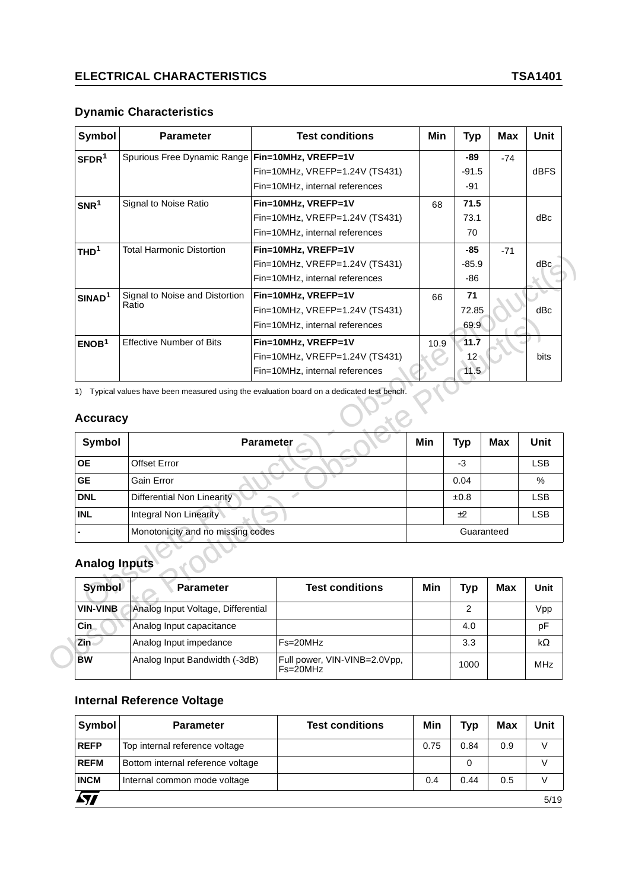# **Dynamic Characteristics**

| <b>Symbol</b>         | <b>Parameter</b>                                                                           |                  | <b>Test conditions</b>         | Min  | <b>Typ</b>      | <b>Max</b> | Unit        |
|-----------------------|--------------------------------------------------------------------------------------------|------------------|--------------------------------|------|-----------------|------------|-------------|
| SFDR <sup>1</sup>     | Spurious Free Dynamic Range                                                                |                  | Fin=10MHz, VREFP=1V            |      | -89             | $-74$      |             |
|                       |                                                                                            |                  | Fin=10MHz, VREFP=1.24V (TS431) |      | $-91.5$         |            | dBFS        |
|                       |                                                                                            |                  | Fin=10MHz, internal references |      | $-91$           |            |             |
| SNR <sup>1</sup>      | Signal to Noise Ratio                                                                      |                  | Fin=10MHz, VREFP=1V            | 68   | 71.5            |            |             |
|                       |                                                                                            |                  | Fin=10MHz, VREFP=1.24V (TS431) |      | 73.1            |            | dBc         |
|                       |                                                                                            |                  | Fin=10MHz, internal references |      | 70              |            |             |
| THD <sup>1</sup>      | <b>Total Harmonic Distortion</b>                                                           |                  | Fin=10MHz, VREFP=1V            |      | -85             | $-71$      |             |
|                       |                                                                                            |                  | Fin=10MHz, VREFP=1.24V (TS431) |      | $-85.9$         |            | dBc         |
|                       |                                                                                            |                  | Fin=10MHz, internal references |      | $-86$           |            |             |
| SINAD <sup>1</sup>    | Signal to Noise and Distortion                                                             |                  | Fin=10MHz, VREFP=1V            | 66   | 71              |            |             |
|                       | Ratio                                                                                      |                  | Fin=10MHz, VREFP=1.24V (TS431) |      | 72.85           |            | dBc         |
|                       |                                                                                            |                  | Fin=10MHz, internal references |      | 69.9            |            |             |
| ENOB <sup>1</sup>     | <b>Effective Number of Bits</b>                                                            |                  | Fin=10MHz, VREFP=1V            | 10.9 | 11.7            |            |             |
|                       |                                                                                            |                  | Fin=10MHz, VREFP=1.24V (TS431) |      | 12 <sup>5</sup> |            | bits        |
|                       |                                                                                            |                  |                                |      |                 |            |             |
|                       | 1) Typical values have been measured using the evaluation board on a dedicated test bench. |                  |                                |      |                 |            |             |
|                       |                                                                                            |                  |                                |      |                 |            |             |
| Symbol                |                                                                                            | <b>Parameter</b> |                                | Min  | <b>Typ</b>      | <b>Max</b> | <b>Unit</b> |
| <b>Accuracy</b><br>OЕ | <b>Offset Error</b>                                                                        |                  |                                |      | $-3$            |            | <b>LSB</b>  |
| <b>GE</b>             | Gain Error                                                                                 |                  |                                |      | 0.04            |            | %           |
| <b>DNL</b>            | <b>Differential Non Linearity</b>                                                          |                  | d.                             |      | ±0.8            |            | LSB         |
| <b>INL</b>            | Integral Non Linearity                                                                     |                  |                                |      | ±2              |            | <b>LSB</b>  |
|                       | Monotonicity and no missing codes                                                          |                  |                                |      | Guaranteed      |            |             |
|                       |                                                                                            |                  |                                |      |                 |            |             |
| <b>Analog Inputs</b>  |                                                                                            |                  |                                |      |                 |            |             |
| <b>Symbol</b>         | <b>Parameter</b>                                                                           |                  | <b>Test conditions</b>         | Min  | <b>Typ</b>      | <b>Max</b> |             |
| <b>VIN-VINB</b>       | Analog Input Voltage, Differential                                                         |                  |                                |      | $\overline{2}$  |            | Vpp         |
| Cin.                  | Analog Input capacitance                                                                   |                  |                                |      | 4.0             |            | Unit<br>pF  |

# **Accuracy**

|                                       |                                    | Fin=10MHz, internal references                                                          |      | 69.9            |            |             |
|---------------------------------------|------------------------------------|-----------------------------------------------------------------------------------------|------|-----------------|------------|-------------|
| ENOB <sup>1</sup>                     | <b>Effective Number of Bits</b>    | Fin=10MHz, VREFP=1V                                                                     | 10.9 | 11.7            |            |             |
|                                       |                                    | Fin=10MHz, VREFP=1.24V (TS431)                                                          |      | 12 <sub>1</sub> |            | <b>bits</b> |
|                                       |                                    | Fin=10MHz, internal references                                                          |      | 11.5            |            |             |
| 1)                                    |                                    | Typical values have been measured using the evaluation board on a dedicated test bench. |      |                 |            |             |
| <b>Accuracy</b>                       |                                    |                                                                                         |      |                 |            |             |
| Symbol                                |                                    | <b>Parameter</b>                                                                        | Min  | <b>Typ</b>      | <b>Max</b> | Unit        |
| <b>OE</b>                             | <b>Offset Error</b>                |                                                                                         |      | $-3$            |            | <b>LSB</b>  |
| <b>GE</b>                             | Gain Error                         |                                                                                         |      | 0.04            |            | %           |
| <b>DNL</b>                            | <b>Differential Non Linearity</b>  |                                                                                         |      | ±0.8            |            | <b>LSB</b>  |
| <b>INL</b>                            | Integral Non Linearity             |                                                                                         |      | $+2$            |            | <b>LSB</b>  |
|                                       | Monotonicity and no missing codes  |                                                                                         |      |                 | Guaranteed |             |
| <b>Analog Inputs</b><br><b>Symbol</b> | <b>Parameter</b>                   | <b>Test conditions</b>                                                                  | Min  | Typ             | Max        | Unit        |
| <b>VIN-VINB</b>                       | Analog Input Voltage, Differential |                                                                                         |      | 2               |            | Vpp         |
| Cin                                   | Analog Input capacitance           |                                                                                         |      | 4.0             |            | pF          |
| Zin                                   | Analog Input impedance             | Fs=20MHz                                                                                |      | 3.3             |            | $k\Omega$   |
| <b>BW</b>                             | Analog Input Bandwidth (-3dB)      | Full power, VIN-VINB=2.0Vpp,                                                            |      |                 |            |             |

# **Analog Inputs**

| <b>Symbol</b>   | <b>Parameter</b>                   | <b>Test conditions</b>                       | Min | <b>Typ</b> | Max | Unit       |
|-----------------|------------------------------------|----------------------------------------------|-----|------------|-----|------------|
| <b>VIN-VINB</b> | Analog Input Voltage, Differential |                                              |     |            |     | Vpp        |
| Cin.            | Analog Input capacitance           |                                              |     | 4.0        |     | pF         |
| Zin             | Analog Input impedance             | $Fs = 20MHz$                                 |     | 3.3        |     | kΩ         |
| <b>BW</b>       | Analog Input Bandwidth (-3dB)      | Full power, VIN-VINB=2.0Vpp,<br>$Fs = 20MHz$ |     | 1000       |     | <b>MHz</b> |

# **Internal Reference Voltage**

| Symbol      | <b>Parameter</b>                  | <b>Test conditions</b> | Min  | <b>Typ</b> | <b>Max</b> | Unit |
|-------------|-----------------------------------|------------------------|------|------------|------------|------|
| <b>REFP</b> | Top internal reference voltage    |                        | 0.75 | 0.84       | 0.9        |      |
| <b>REFM</b> | Bottom internal reference voltage |                        |      | 0          |            |      |
| <b>INCM</b> | Internal common mode voltage      |                        | 0.4  | 0.44       | 0.5        |      |
|             |                                   |                        |      |            |            | 5/19 |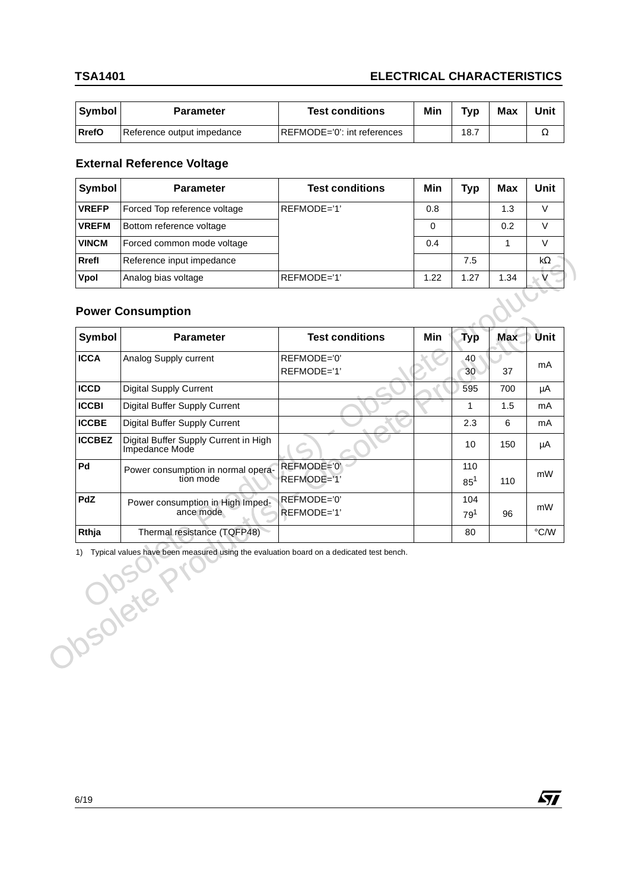# **TSA1401 ELECTRICAL CHARACTERISTICS**

| Symbol       | Parameter                  | <b>Test conditions</b>       | Min | Tvn  | Max | Unit |
|--------------|----------------------------|------------------------------|-----|------|-----|------|
| <b>RrefO</b> | Reference output impedance | IREFMODE='0': int references |     | 18.7 |     |      |

# **External Reference Voltage**

| Symbol<br><b>Parameter</b>   | <b>Test conditions</b> | Min  | Typ  | <b>Max</b> | Unit |
|------------------------------|------------------------|------|------|------------|------|
| Forced Top reference voltage | REFMODE='1'            | 0.8  |      | 1.3        | v    |
| Bottom reference voltage     |                        | 0    |      | 0.2        | v    |
| Forced common mode voltage   |                        | 0.4  |      |            | V    |
| Reference input impedance    |                        |      | 7.5  |            | kΩ   |
| Analog bias voltage          | REFMODE='1'            | 1.22 | 1.27 | 1.34       |      |
| <b>Power Consumption</b>     |                        |      |      |            |      |
|                              |                        |      |      |            |      |

# **Power Consumption**

| <b>ICCA</b>   | Analog Supply current                                                                               | REFMODE='0'                | <b>Typ</b><br>40 | <b>Max</b> |               |
|---------------|-----------------------------------------------------------------------------------------------------|----------------------------|------------------|------------|---------------|
|               |                                                                                                     | REFMODE='1'                | 30               | 37         | mA            |
| <b>ICCD</b>   | <b>Digital Supply Current</b>                                                                       |                            | 595              | 700        | μA            |
| <b>ICCBI</b>  | Digital Buffer Supply Current                                                                       |                            | 1                | 1.5        | mA            |
| <b>ICCBE</b>  | Digital Buffer Supply Current                                                                       |                            | 2.3              | 6          | mA            |
| <b>ICCBEZ</b> | Digital Buffer Supply Current in High<br>Impedance Mode                                             |                            | 10               | 150        | μA            |
| Pd            | Power consumption in normal opera-<br>tion mode                                                     | REFMODE='0'<br>REFMODE='1' | 110<br>$85^{1}$  | 110        | mW            |
| <b>PdZ</b>    | Power consumption in High Imped-<br>ance mode                                                       | REFMODE='0'<br>REFMODE='1' | 104<br>$79^{1}$  | 96         | mW            |
| Rthja         | Thermal resistance (TQFP48)                                                                         |                            | 80               |            | $\degree$ C/W |
|               | Typical values have been measured using the evaluation board on a dedicated test bench.<br>USOKER Y |                            |                  |            |               |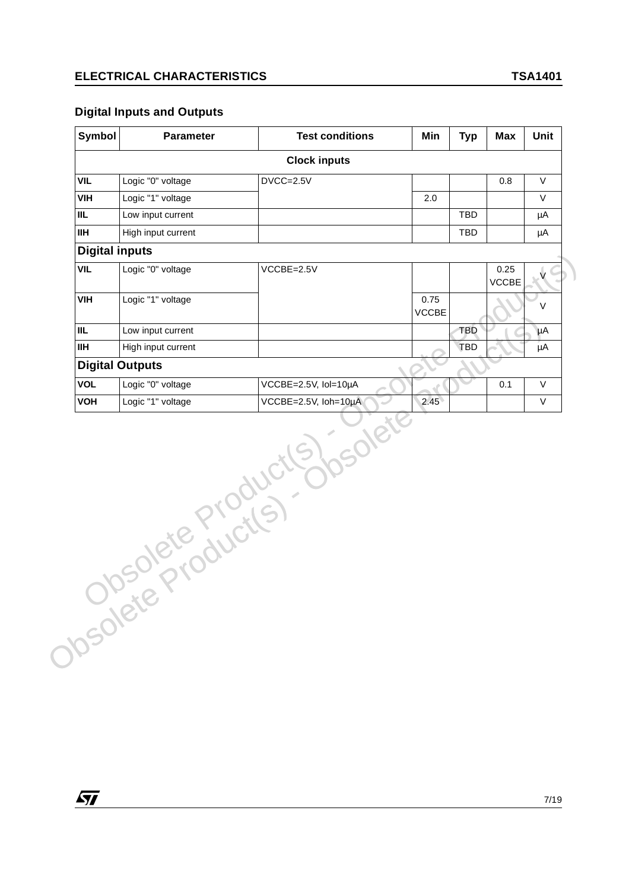# **Digital Inputs and Outputs**

*ST* 

|                       | <b>Parameter</b>       | <b>Test conditions</b> | Min                  | <b>Typ</b> | <b>Max</b>           | Unit         |
|-----------------------|------------------------|------------------------|----------------------|------------|----------------------|--------------|
|                       |                        | <b>Clock inputs</b>    |                      |            |                      |              |
| VIL                   | Logic "0" voltage      | DVCC=2.5V              |                      |            | 0.8                  | V            |
| <b>VIH</b>            | Logic "1" voltage      |                        | 2.0                  |            |                      | $\vee$       |
| <b>IIL</b>            | Low input current      |                        |                      | TBD        |                      | μA           |
| <b>IIH</b>            | High input current     |                        |                      | TBD        |                      | μA           |
| <b>Digital inputs</b> |                        |                        |                      |            |                      |              |
| <b>VIL</b>            | Logic "0" voltage      | $VCCBE = 2.5V$         |                      |            | 0.25<br><b>VCCBE</b> | $\mathsf{V}$ |
| <b>VIH</b>            | Logic "1" voltage      |                        | 0.75<br><b>VCCBE</b> |            |                      | V            |
| <b>IIL</b>            | Low input current      |                        |                      | <b>TBD</b> |                      | μA           |
| <b>IIH</b>            | High input current     |                        |                      | <b>TBD</b> |                      | μA           |
|                       | <b>Digital Outputs</b> |                        |                      |            |                      |              |
| <b>VOL</b>            | Logic "0" voltage      | VCCBE=2.5V, Iol=10µA   |                      |            | 0.1                  | V            |
| VOH                   | Logic "1" voltage      | VCCBE=2.5V, Ioh=10µA   | 2.45                 |            |                      | $\vee$       |
|                       |                        |                        |                      |            |                      |              |
|                       | Josolete Production    | S) rsolet              |                      |            |                      |              |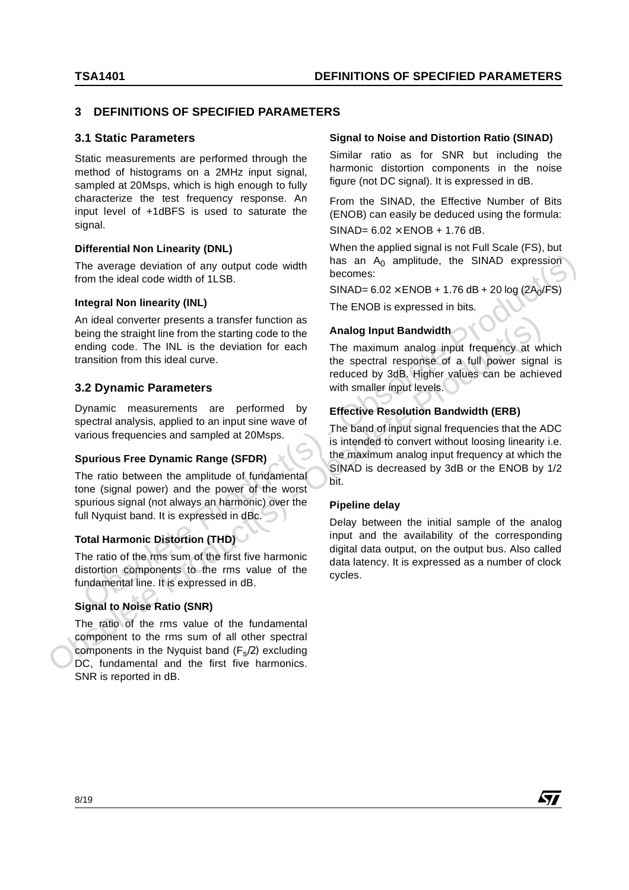# **3 DEFINITIONS OF SPECIFIED PARAMETERS**

### **3.1 Static Parameters**

Static measurements are performed through the method of histograms on a 2MHz input signal, sampled at 20Msps, which is high enough to fully characterize the test frequency response. An input level of +1dBFS is used to saturate the signal.

#### **Differential Non Linearity (DNL)**

The average deviation of any output code width from the ideal code width of 1LSB.

#### **Integral Non linearity (INL)**

An ideal converter presents a transfer function as being the straight line from the starting code to the ending code. The INL is the deviation for each transition from this ideal curve.

### **3.2 Dynamic Parameters**

Dynamic measurements are performed by spectral analysis, applied to an input sine wave of various frequencies and sampled at 20Msps.

#### **Spurious Free Dynamic Range (SFDR)**

The ratio between the amplitude of fundamental tone (signal power) and the power of the worst spurious signal (not always an harmonic) over the full Nyquist band. It is expressed in dBc.

#### **Total Harmonic Distortion (THD)**

The ratio of the rms sum of the first five harmonic distortion components to the rms value of the fundamental line. It is expressed in dB.

# **Signal to Noise Ratio (SNR)**

The ratio of the rms value of the fundamental component to the rms sum of all other spectral components in the Nyquist band  $(F_s/2)$  excluding DC, fundamental and the first five harmonics. SNR is reported in dB.

#### **Signal to Noise and Distortion Ratio (SINAD)**

Similar ratio as for SNR but including the harmonic distortion components in the noise figure (not DC signal). It is expressed in dB.

From the SINAD, the Effective Number of Bits (ENOB) can easily be deduced using the formula: SINAD=  $6.02 \times$  ENOB + 1.76 dB.

When the applied signal is not Full Scale (FS), but has an  $A_0$  amplitude, the SINAD expression becomes:

 $SINAD = 6.02 \times ENOB + 1.76 dB + 20 log (2A<sub>0</sub>/FS)$ 

The ENOB is expressed in bits.

#### **Analog Input Bandwidth**

The maximum analog input frequency at which the spectral response of a full power signal is reduced by 3dB. Higher values can be achieved with smaller input levels.

### **Effective Resolution Bandwidth (ERB)**

The band of input signal frequencies that the ADC is intended to convert without loosing linearity i.e. the maximum analog input frequency at which the SINAD is decreased by 3dB or the ENOB by 1/2 bit.

#### **Pipeline delay**

An ideal converter presents a transfer function as<br>
being the straight line from the starting code to the<br>
obsolet of the INL is the deviation for each<br>
the spectral response of a full power signal<br>
3.2 Dynamic Parameters Delay between the initial sample of the analog input and the availability of the corresponding digital data output, on the output bus. Also called data latency. It is expressed as a number of clock cycles.The average deviation of any output code width  $\frac{1}{2}$  becomes:<br>
Similar an A<sub>2</sub> amplitude, the SINAD expression<br>
Iron the ideal code width of 1LSB.<br>
An ideal converter presents a transfer function as<br>
being the straigh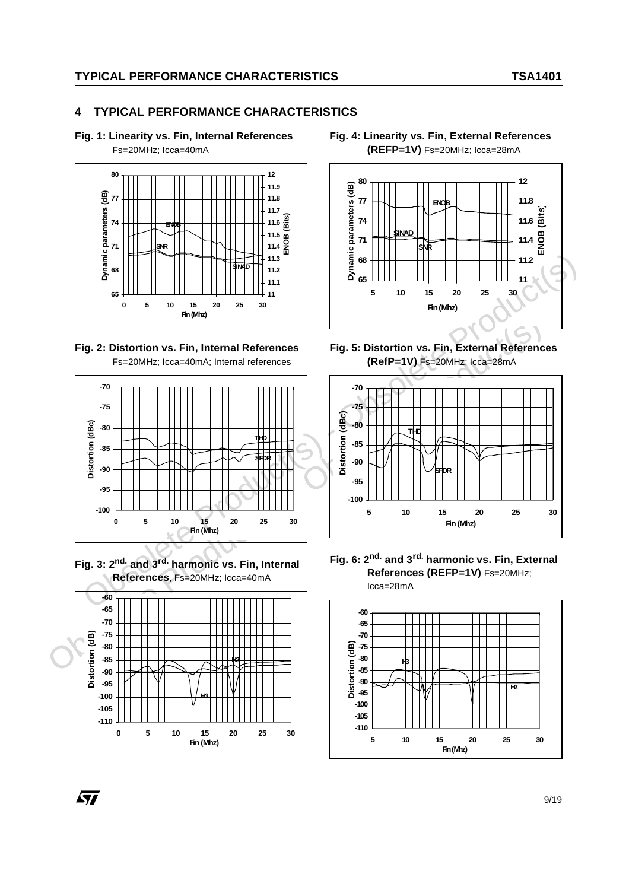# **4 TYPICAL PERFORMANCE CHARACTERISTICS**

**Fig. 1: Linearity vs. Fin, Internal References**

Fs=20MHz; Icca=40mA



**Fig. 2: Distortion vs. Fin, Internal References** Fs=20MHz; Icca=40mA; Internal references



**Fig. 3: 2nd. and 3rd. harmonic vs. Fin, Internal References**, Fs=20MHz; Icca=40mA



**Fig. 4: Linearity vs. Fin, External References (REFP=1V)** Fs=20MHz; Icca=28mA



**Fig. 5: Distortion vs. Fin, External References (RefP=1V)** Fs=20MHz; Icca=28mA



**Fig. 6: 2nd. and 3rd. harmonic vs. Fin, External References (REFP=1V)** Fs=20MHz; Icca=28mA

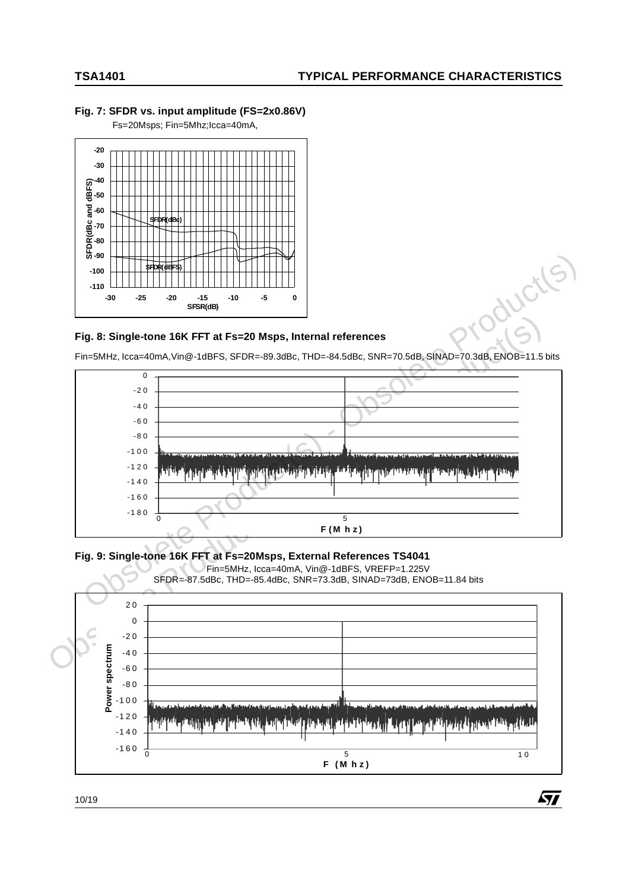#### **Fig. 7: SFDR vs. input amplitude (FS=2x0.86V)**

Fs=20Msps; Fin=5Mhz;Icca=40mA,



#### **Fig. 8: Single-tone 16K FFT at Fs=20 Msps, Internal references**

Fin=5MHz, Icca=40mA,Vin@-1dBFS, SFDR=-89.3dBc, THD=-84.5dBc, SNR=70.5dB, SINAD=70.3dB, ENOB=11.5 bits



**Fig. 9: Single-tone 16K FFT at Fs=20Msps, External References TS4041** 



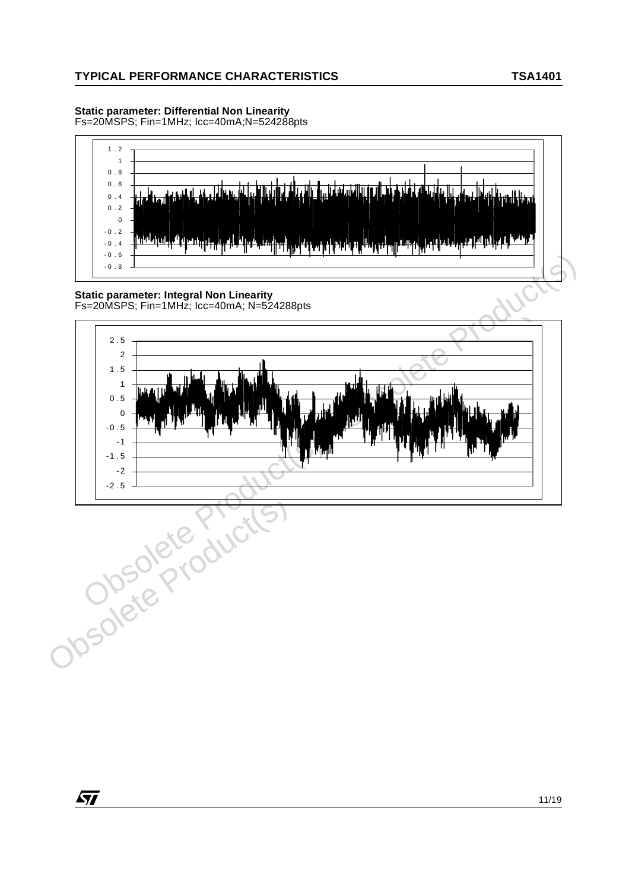# **Static parameter: Differential Non Linearity**

Fs=20MSPS; Fin=1MHz; Icc=40mA;N=524288pts



#### **Static parameter: Integral Non Linearity** Fs=20MSPS; Fin=1MHz; Icc=40mA; N=524288pts

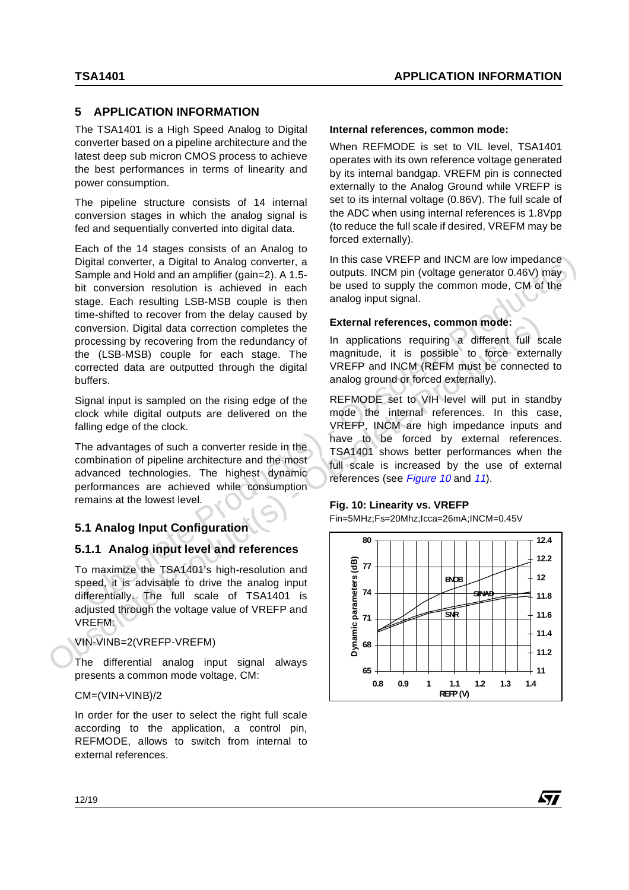# **5 APPLICATION INFORMATION**

The TSA1401 is a High Speed Analog to Digital converter based on a pipeline architecture and the latest deep sub micron CMOS process to achieve the best performances in terms of linearity and power consumption.

The pipeline structure consists of 14 internal conversion stages in which the analog signal is fed and sequentially converted into digital data.

Each of the 14 stages consists of an Analog to Digital converter, a Digital to Analog converter, a Sample and Hold and an amplifier (gain=2). A 1.5 bit conversion resolution is achieved in each stage. Each resulting LSB-MSB couple is then time-shifted to recover from the delay caused by conversion. Digital data correction completes the processing by recovering from the redundancy of the (LSB-MSB) couple for each stage. The corrected data are outputted through the digital buffers. Digital converter, a Digital to Analog converter, a<br>
Sample and Hold and amplifier (gain-2), At 15. case VREFP and INCM are low impediance<br>
bit conversion resolution is achieved in each to the used to supply the common mo

Signal input is sampled on the rising edge of the clock while digital outputs are delivered on the falling edge of the clock.

The advantages of such a converter reside in the combination of pipeline architecture and the most advanced technologies. The highest dynamic performances are achieved while consumption remains at the lowest level.

# **5.1 Analog Input Configuration**

# **5.1.1 Analog input level and references**

To maximize the TSA1401's high-resolution and speed, it is advisable to drive the analog input differentially. The full scale of TSA1401 is adjusted through the voltage value of VREFP and VREFM:

#### VIN-VINB=2(VREFP-VREFM)

The differential analog input signal always presents a common mode voltage, CM:

CM=(VIN+VINB)/2

In order for the user to select the right full scale according to the application, a control pin, REFMODE, allows to switch from internal to external references.

#### **Internal references, common mode:**

When REFMODE is set to VIL level, TSA1401 operates with its own reference voltage generated by its internal bandgap. VREFM pin is connected externally to the Analog Ground while VREFP is set to its internal voltage (0.86V). The full scale of the ADC when using internal references is 1.8Vpp (to reduce the full scale if desired, VREFM may be forced externally).

In this case VREFP and INCM are low impedance outputs. INCM pin (voltage generator 0.46V) may be used to supply the common mode, CM of the analog input signal.

#### **External references, common mode:**

In applications requiring a different full scale magnitude, it is possible to force externally VREFP and INCM (REFM must be connected to analog ground or forced externally).

REFMODE set to VIH level will put in standby mode the internal references. In this case, VREFP, INCM are high impedance inputs and have to be forced by external references. TSA1401 shows better performances when the full scale is increased by the use of external references (see Figure 10 and 11).

#### <span id="page-11-0"></span>**Fig. 10: Linearity vs. VREFP**

Fin=5MHz;Fs=20Mhz;Icca=26mA;INCM=0.45V

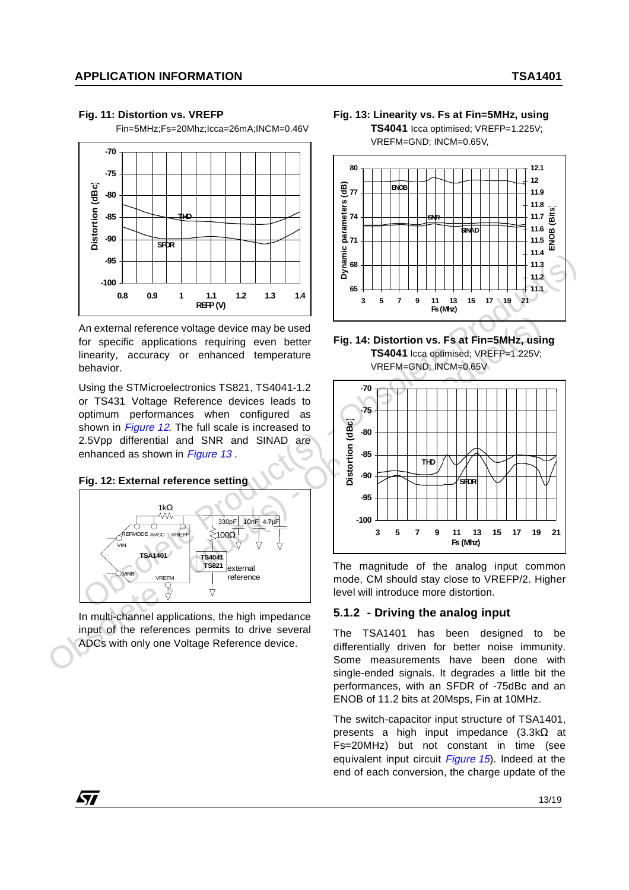#### <span id="page-12-0"></span>**Fig. 11: Distortion vs. VREFP**

Fin=5MHz;Fs=20Mhz;Icca=26mA;INCM=0.46V



An external reference voltage device may be used for specific applications requiring even better linearity, accuracy or enhanced temperature behavior.

Using the STMicroelectronics TS821, TS4041-1.2 or TS431 Voltage Reference devices leads to optimum performances when configured as shown in *Figure 12*. The full scale is increased to 2.5Vpp differential and SNR and SINAD are enhanced as shown in Figure 13.

#### **Fig. 12: External reference setting**

97



In multi-channel applications, the high impedance input of the references permits to drive several ADCs with only one Voltage Reference device.

**Fig. 13: Linearity vs. Fs at Fin=5MHz, using TS4041** Icca optimised; VREFP=1.225V;

VREFM=GND; INCM=0.65V,



**Fig. 14: Distortion vs. Fs at Fin=5MHz, using TS4041** Icca optimised; VREFP=1.225V; VREFM=GND; INCM=0.65V



The magnitude of the analog input common mode, CM should stay close to VREFP/2. Higher level will introduce more distortion.

#### **5.1.2 - Driving the analog input**

The TSA1401 has been designed to be differentially driven for better noise immunity. Some measurements have been done with single-ended signals. It degrades a little bit the performances, with an SFDR of -75dBc and an ENOB of 11.2 bits at 20Msps, Fin at 10MHz.

The switch-capacitor input structure of TSA1401, presents a high input impedance (3.3kΩ at Fs=20MHz) but not constant in time (see equivalent input circuit *[Figure](#page-13-0)* 15). Indeed at the end of each conversion, the charge update of the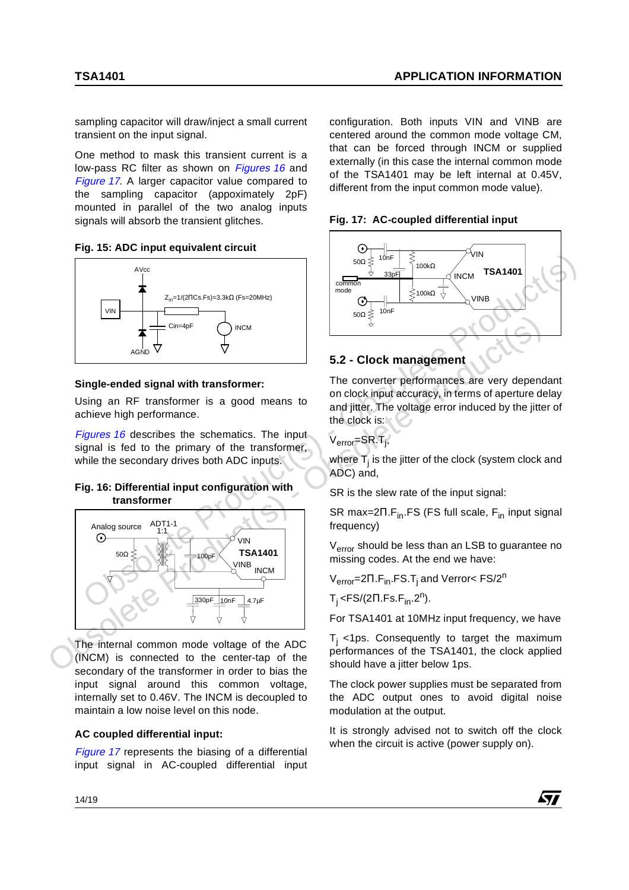sampling capacitor will draw/inject a small current transient on the input signal.

One method to mask this transient current is a low-pass RC filter as shown on *Figures 16* and [Figure](#page-13-1) 17. A larger capacitor value compared to the sampling capacitor (appoximately 2pF) mounted in parallel of the two analog inputs signals will absorb the transient glitches.

<span id="page-13-0"></span>**Fig. 15: ADC input equivalent circuit**



# **Single-ended signal with transformer:**

Using an RF transformer is a good means to achieve high performance.

Figures 16 describes the schematics. The input signal is fed to the primary of the transformer, while the secondary drives both ADC inputs.

### **Fig. 16: Differential input configuration with transformer**



The internal common mode voltage of the ADC (INCM) is connected to the center-tap of the secondary of the transformer in order to bias the input signal around this common voltage, internally set to 0.46V. The INCM is decoupled to maintain a low noise level on this node.

# **AC coupled differential input:**

[Figure](#page-13-1) 17 represents the biasing of a differential input signal in AC-coupled differential input configuration. Both inputs VIN and VINB are centered around the common mode voltage CM, that can be forced through INCM or supplied externally (in this case the internal common mode of the TSA1401 may be left internal at 0.45V, different from the input common mode value).

<span id="page-13-1"></span>![](_page_13_Figure_15.jpeg)

![](_page_13_Figure_16.jpeg)

# **5.2 - Clock management**

The converter performances are very dependant on clock input accuracy, in terms of aperture delay and jitter. The voltage error induced by the jitter of the clock is:

V<sub>error</sub>=SR.T<sub>j</sub>,

where  ${\sf T}_{\sf j}$  is the jitter of the clock (system clock and ADC) and,

SR is the slew rate of the input signal:

SR max= $2\Pi$ .F<sub>in</sub>.FS (FS full scale, F<sub>in</sub> input signal frequency)

V<sub>error</sub> should be less than an LSB to guarantee no missing codes. At the end we have:

V<sub>error</sub>=2Π.F<sub>in</sub>.FS.T<sub>i</sub> and Verror< FS/2<sup>n</sup>

 $T_i$  <FS/(2 $\Pi$ .Fs.F<sub>in</sub>.2<sup>n</sup>).

For TSA1401 at 10MHz input frequency, we have

 $T<sub>i</sub>$  <1ps. Consequently to target the maximum performances of the TSA1401, the clock applied should have a jitter below 1ps.

The clock power supplies must be separated from the ADC output ones to avoid digital noise modulation at the output.

It is strongly advised not to switch off the clock when the circuit is active (power supply on).

![](_page_13_Picture_30.jpeg)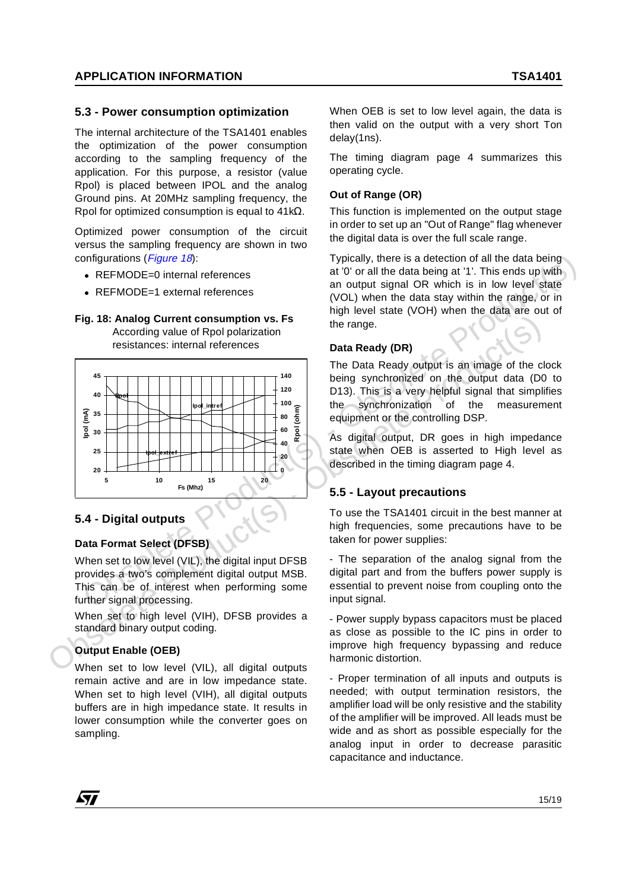#### **5.3 - Power consumption optimization**

The internal architecture of the TSA1401 enables the optimization of the power consumption according to the sampling frequency of the application. For this purpose, a resistor (value Rpol) is placed between IPOL and the analog Ground pins. At 20MHz sampling frequency, the Rpol for optimized consumption is equal to 41kΩ.

Optimized power consumption of the circuit versus the sampling frequency are shown in two configurations (Figure 18):

- REFMODE=0 internal references
- REFMODE=1 external references

<span id="page-14-0"></span>**Fig. 18: Analog Current consumption vs. Fs** According value of Rpol polarization

resistances: internal references

![](_page_14_Figure_9.jpeg)

#### **5.4 - Digital outputs**

#### **Data Format Select (DFSB)**

When set to low level (VIL), the digital input DFSB provides a two's complement digital output MSB. This can be of interest when performing some further signal processing.

When set to high level (VIH), DFSB provides a standard binary output coding.

#### **Output Enable (OEB)**

When set to low level (VIL), all digital outputs remain active and are in low impedance state. When set to high level (VIH), all digital outputs buffers are in high impedance state. It results in lower consumption while the converter goes on sampling.

When OEB is set to low level again, the data is then valid on the output with a very short Ton delay(1ns).

The timing diagram page 4 summarizes this operating cycle.

#### **Out of Range (OR)**

This function is implemented on the output stage in order to set up an "Out of Range" flag whenever the digital data is over the full scale range.

Typically, there is a detection of all the data being at '0' or all the data being at '1'. This ends up with an output signal OR which is in low level state (VOL) when the data stay within the range, or in high level state (VOH) when the data are out of the range.

#### **Data Ready (DR)**

The Data Ready output is an image of the clock being synchronized on the output data (D0 to D13). This is a very helpful signal that simplifies the synchronization of the measurement equipment or the controlling DSP.

As digital output, DR goes in high impedance state when OEB is asserted to High level as described in the timing diagram page 4.

# **5.5 - Layout precautions**

To use the TSA1401 circuit in the best manner at high frequencies, some precautions have to be taken for power supplies:

- The separation of the analog signal from the digital part and from the buffers power supply is essential to prevent noise from coupling onto the input signal.

- Power supply bypass capacitors must be placed as close as possible to the IC pins in order to improve high frequency bypassing and reduce harmonic distortion.

- Proper termination of all inputs and outputs is needed; with output termination resistors, the amplifier load will be only resistive and the stability of the amplifier will be improved. All leads must be wide and as short as possible especially for the analog input in order to decrease parasitic capacitance and inductance.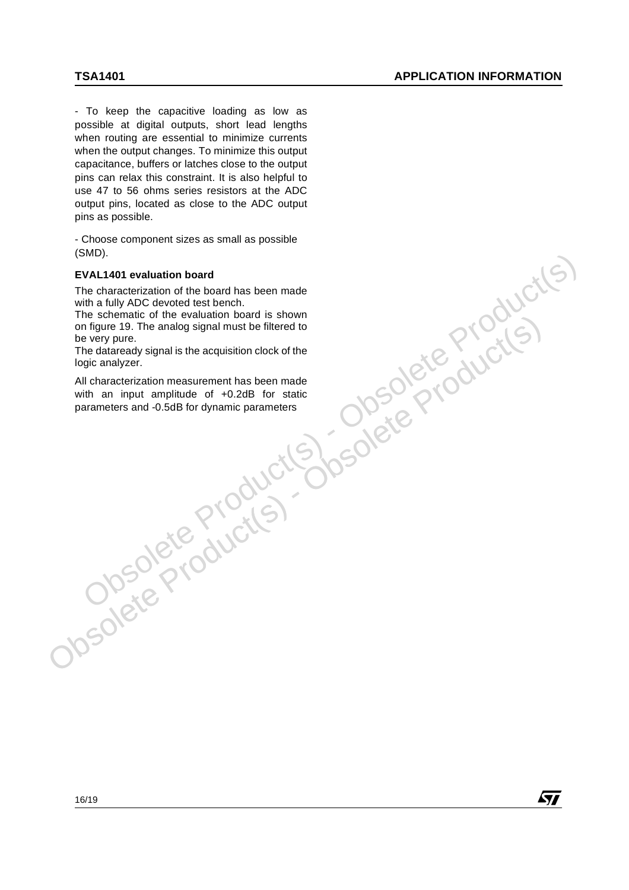- To keep the capacitive loading as low as possible at digital outputs, short lead lengths when routing are essential to minimize currents when the output changes. To minimize this output capacitance, buffers or latches close to the output pins can relax this constraint. It is also helpful to use 47 to 56 ohms series resistors at the ADC output pins, located as close to the ADC output pins as possible.

- Choose component sizes as small as possible (SMD).

#### **EVAL1401 evaluation board**

The characterization of the board has been made with a fully ADC devoted test bench.

The schematic of the evaluation board is shown on figure 19. The analog signal must be filtered to be very pure.

The dataready signal is the acquisition clock of the logic analyzer.

The schemato or a version and a show that is the schemator of the state of the beat of the characters and -0.5dB for statice with an input amplitude of +0.2dB for static parameters and -0.5dB for dynamic parameters<br>
with a All characterization measurement has been made with an input amplitude of +0.2dB for static parameters and -0.5dB for dynamic parametersEVALI401 evaluation board<br>
EThe characterization of the board has been made<br>
with a fully ADC devoted test bench.<br>
The schematic of the evaluation board is shown<br>
on figure 19. The analog signal must be filtered to<br>
be ve

![](_page_15_Picture_10.jpeg)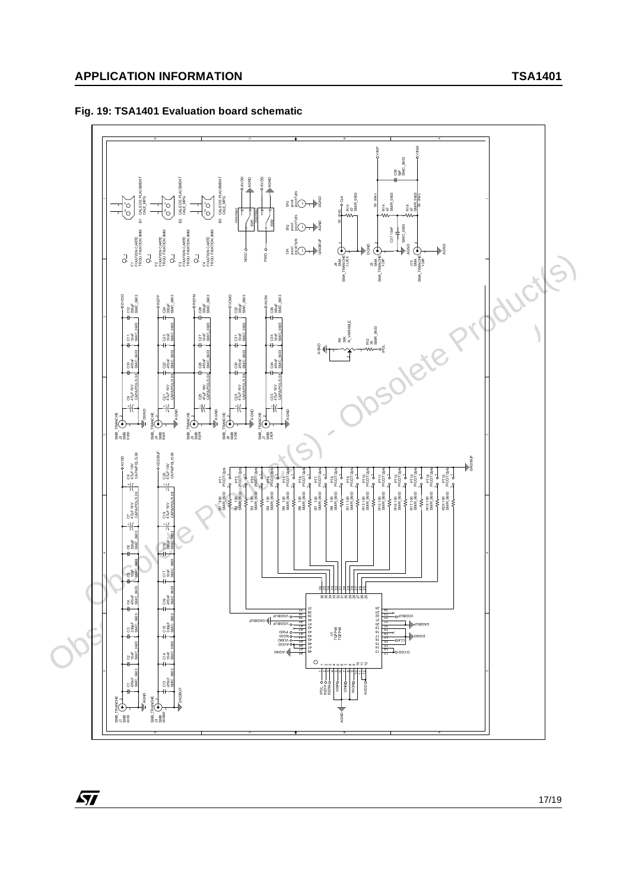57

# **Fig. 19: TSA1401 Evaluation board schematic**

![](_page_16_Figure_3.jpeg)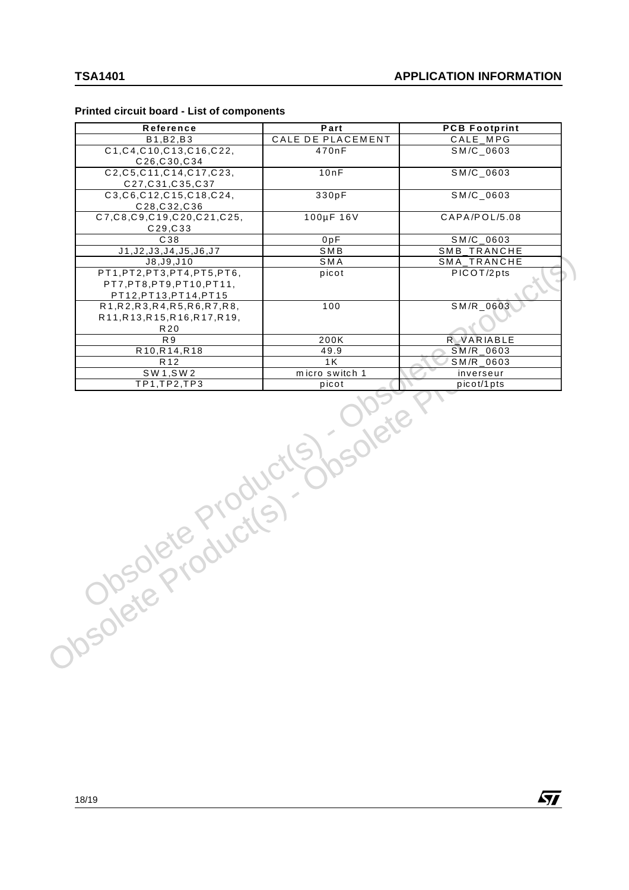57

#### **Printed circuit board - List of components**

| Reference                                                                        | Part                    | <b>PCB Footprint</b>    |
|----------------------------------------------------------------------------------|-------------------------|-------------------------|
| B1, B2, B3                                                                       | CALE DE PLACEMENT       | CALE_MPG                |
| C1, C4, C10, C13, C16, C22,<br>C <sub>26</sub> ,C <sub>30</sub> ,C <sub>34</sub> | 470nF                   | $SM/C_0603$             |
| C2, C5, C11, C14, C17, C23,<br>C27, C31, C35, C37                                | 10nF                    | SM/C_0603               |
| C3, C6, C12, C15, C18, C24,<br>C28, C32, C36                                     | 330pF                   | SM/C_0603               |
| C7, C8, C9, C19, C20, C21, C25,<br>C29, C33                                      | 100µF 16V               | CAPA/POL/5.08           |
| C38                                                                              | 0pF                     | SM/C_0603               |
| J1, J2, J3, J4, J5, J6, J7                                                       | SMB                     | SMB_TRANCHE             |
| J8, J9, J10                                                                      | SMA                     | SMA_TRANCHE             |
| PT1, PT2, PT3, PT4, PT5, PT6,                                                    | picot                   | PICOT/2pts              |
| PT7, PT8, PT9, PT10, PT11,<br>PT12, PT13, PT14, PT15                             |                         |                         |
| R1, R2, R3, R4, R5, R6, R7, R8,                                                  | 100                     | $SM/R_0603$             |
| R11, R13, R15, R16, R17, R19,                                                    |                         |                         |
| R20                                                                              |                         |                         |
| R <sub>9</sub>                                                                   | 200K                    | <b>R</b> VARIABLE       |
| R10, R14, R18                                                                    | 49.9                    | SM/R_0603               |
| R <sub>12</sub>                                                                  | 1K                      | $\overline{SM/R}$ 0603  |
| SW1, SW2<br>TP1,TP2,TP3                                                          | micro switch 1<br>picot | inverseur<br>picot/1pts |
| Dsolete Productly                                                                | <b>LOWER</b>            |                         |
|                                                                                  |                         |                         |